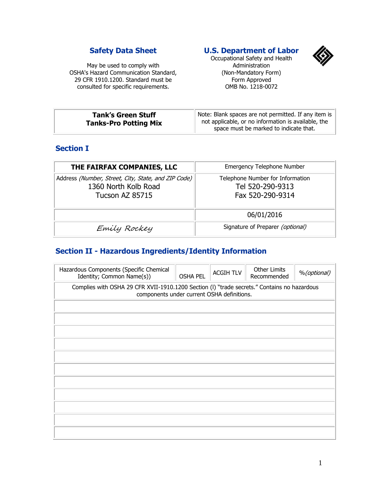#### **Safety Data Sheet**

May be used to comply with OSHA's Hazard Communication Standard, 29 CFR 1910.1200. Standard must be consulted for specific requirements.

### **U.S. Department of Labor**



Occupational Safety and Health Administration (Non-Mandatory Form) Form Approved OMB No. 1218-0072

| <b>Tank's Green Stuff</b>    | Note: Blank spaces are not permitted. If any item is |
|------------------------------|------------------------------------------------------|
| <b>Tanks-Pro Potting Mix</b> | not applicable, or no information is available, the  |
|                              | space must be marked to indicate that.               |

#### **Section I**

| THE FAIRFAX COMPANIES, LLC                                                                     | <b>Emergency Telephone Number</b>                                        |
|------------------------------------------------------------------------------------------------|--------------------------------------------------------------------------|
| Address (Number, Street, City, State, and ZIP Code)<br>1360 North Kolb Road<br>Tucson AZ 85715 | Telephone Number for Information<br>Tel 520-290-9313<br>Fax 520-290-9314 |
|                                                                                                | 06/01/2016                                                               |
| Emily Rockey                                                                                   | Signature of Preparer (optional)                                         |

## **Section II - Hazardous Ingredients/Identity Information**

| Hazardous Components (Specific Chemical<br>Identity; Common Name(s))                                                                      | <b>OSHA PEL</b> | <b>ACGIH TLV</b> | <b>Other Limits</b><br>Recommended | %(optional) |  |
|-------------------------------------------------------------------------------------------------------------------------------------------|-----------------|------------------|------------------------------------|-------------|--|
| Complies with OSHA 29 CFR XVII-1910.1200 Section (I) "trade secrets." Contains no hazardous<br>components under current OSHA definitions. |                 |                  |                                    |             |  |
|                                                                                                                                           |                 |                  |                                    |             |  |
|                                                                                                                                           |                 |                  |                                    |             |  |
|                                                                                                                                           |                 |                  |                                    |             |  |
|                                                                                                                                           |                 |                  |                                    |             |  |
|                                                                                                                                           |                 |                  |                                    |             |  |
|                                                                                                                                           |                 |                  |                                    |             |  |
|                                                                                                                                           |                 |                  |                                    |             |  |
|                                                                                                                                           |                 |                  |                                    |             |  |
|                                                                                                                                           |                 |                  |                                    |             |  |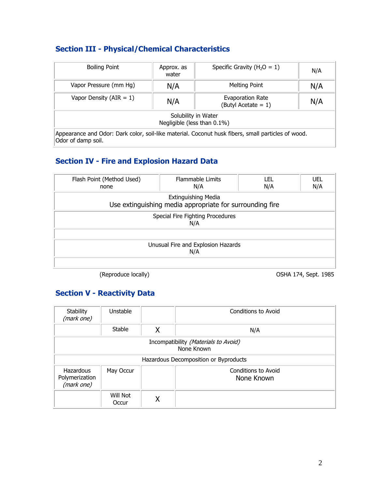# **Section III - Physical/Chemical Characteristics**

| <b>Boiling Point</b>                                                                                                     | Approx. as<br>water | Specific Gravity ( $H_2O = 1$ )            | N/A |  |
|--------------------------------------------------------------------------------------------------------------------------|---------------------|--------------------------------------------|-----|--|
| Vapor Pressure (mm Hg)                                                                                                   | N/A                 | <b>Melting Point</b>                       | N/A |  |
| Vapor Density (AIR = $1$ )                                                                                               | N/A                 | Evaporation Rate<br>(Butyl Acetate $= 1$ ) | N/A |  |
| Solubility in Water<br>Negligible (less than 0.1%)                                                                       |                     |                                            |     |  |
| Appearance and Odor: Dark color, soil-like material. Coconut husk fibers, small particles of wood.<br>Odor of damp soil. |                     |                                            |     |  |

# **Section IV - Fire and Explosion Hazard Data**

| Flash Point (Method Used)<br>none                                               | <b>Flammable Limits</b><br>N/A | LEL<br>N/A | <b>UEL</b><br>N/A |  |  |
|---------------------------------------------------------------------------------|--------------------------------|------------|-------------------|--|--|
| Extinguishing Media<br>Use extinguishing media appropriate for surrounding fire |                                |            |                   |  |  |
| Special Fire Fighting Procedures<br>N/A                                         |                                |            |                   |  |  |
| Unusual Fire and Explosion Hazards<br>N/A                                       |                                |            |                   |  |  |
|                                                                                 |                                |            |                   |  |  |

(Reproduce locally) OSHA 174, Sept. 1985

## **Section V - Reactivity Data**

| <b>Stability</b><br>(mark one)                     | Unstable          |   | Conditions to Avoid               |  |
|----------------------------------------------------|-------------------|---|-----------------------------------|--|
|                                                    | Stable            | χ | N/A                               |  |
| Incompatibility (Materials to Avoid)<br>None Known |                   |   |                                   |  |
| Hazardous Decomposition or Byproducts              |                   |   |                                   |  |
| Hazardous<br>Polymerization<br>(mark one)          | May Occur         |   | Conditions to Avoid<br>None Known |  |
|                                                    | Will Not<br>Occur |   |                                   |  |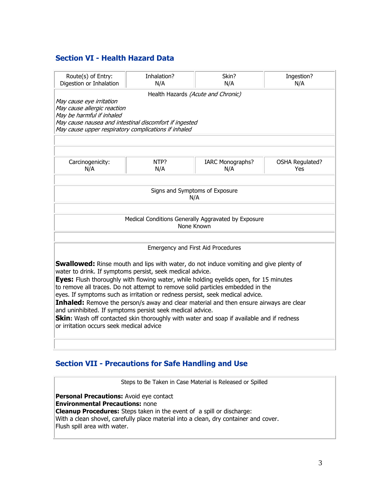### **Section VI - Health Hazard Data**

| Route(s) of Entry:<br>Digestion or Inhalation                                                                                                                                                                                                                                                                                                                                                                                                                                                                                                                                                                                                                                                                               | Inhalation?<br>N/A | Skin?<br>N/A                   | Ingestion?<br>N/A             |  |  |
|-----------------------------------------------------------------------------------------------------------------------------------------------------------------------------------------------------------------------------------------------------------------------------------------------------------------------------------------------------------------------------------------------------------------------------------------------------------------------------------------------------------------------------------------------------------------------------------------------------------------------------------------------------------------------------------------------------------------------------|--------------------|--------------------------------|-------------------------------|--|--|
| Health Hazards (Acute and Chronic)<br>May cause eye irritation<br>May cause allergic reaction<br>May be harmful if inhaled<br>May cause nausea and intestinal discomfort if ingested<br>May cause upper respiratory complications if inhaled                                                                                                                                                                                                                                                                                                                                                                                                                                                                                |                    |                                |                               |  |  |
| Carcinogenicity:<br>N/A                                                                                                                                                                                                                                                                                                                                                                                                                                                                                                                                                                                                                                                                                                     | NTP?<br>N/A        | <b>IARC Monographs?</b><br>N/A | <b>OSHA Regulated?</b><br>Yes |  |  |
| Signs and Symptoms of Exposure<br>N/A                                                                                                                                                                                                                                                                                                                                                                                                                                                                                                                                                                                                                                                                                       |                    |                                |                               |  |  |
| Medical Conditions Generally Aggravated by Exposure<br>None Known                                                                                                                                                                                                                                                                                                                                                                                                                                                                                                                                                                                                                                                           |                    |                                |                               |  |  |
| Emergency and First Aid Procedures                                                                                                                                                                                                                                                                                                                                                                                                                                                                                                                                                                                                                                                                                          |                    |                                |                               |  |  |
| <b>Swallowed:</b> Rinse mouth and lips with water, do not induce vomiting and give plenty of<br>water to drink. If symptoms persist, seek medical advice.<br><b>Eyes:</b> Flush thoroughly with flowing water, while holding eyelids open, for 15 minutes<br>to remove all traces. Do not attempt to remove solid particles embedded in the<br>eyes. If symptoms such as irritation or redness persist, seek medical advice.<br>Inhaled: Remove the person/s away and clear material and then ensure airways are clear<br>and uninhibited. If symptoms persist seek medical advice.<br>Skin: Wash off contacted skin thoroughly with water and soap if available and if redness<br>or irritation occurs seek medical advice |                    |                                |                               |  |  |

### **Section VII - Precautions for Safe Handling and Use**

Steps to Be Taken in Case Material is Released or Spilled **Personal Precautions:** Avoid eye contact **Environmental Precautions:** none **Cleanup Procedures:** Steps taken in the event of a spill or discharge: With a clean shovel, carefully place material into a clean, dry container and cover. Flush spill area with water.